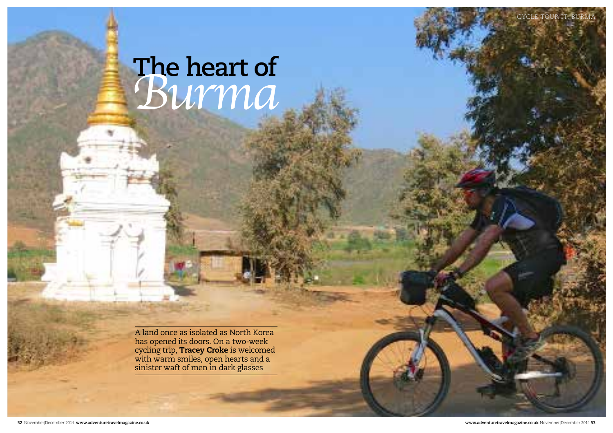

A land once as isolated as North Korea has opened its doors. On a two-week cycling trip, **Tracey Croke** is welcomed with warm smiles, open hearts and a sinister waft of men in dark glasses

# **The heart of** *Burma*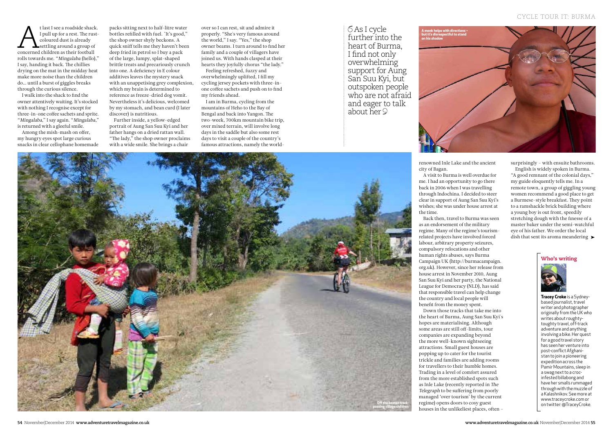renowned Inle Lake and the ancient city of Bagan.

A visit to Burma is well overdue for me. I had an opportunity to go there back in 2006 when I was travelling through Indochina. I decided to steer clear in support of Aung San Suu Kyi's wishes; she was under house arrest at the time.

surprisingly – with ensuite bathrooms. English is widely spoken in Burma. "A good remnant of the colonial days," my guide eloquently tells me. In a remote town, a group of giggling young women recommend a good place to get a Burmese-style breakfast. They point to a ramshackle brick building where a young boy is out front, speedily stretching dough with the finesse of a master baker under the semi-watchful eye of his father. We order the local dish that sent its aroma meandering  $\blacktriangleright$ 

Back then, travel to Burma was seen as an endorsement of the military regime. Many of the regime's tourismrelated projects have involved forced labour, arbitrary property seizures, compulsory relocations and other human rights abuses, says Burma Campaign UK (http://burmacampaign. org.uk). However, since her release from house arrest in November 2010, Aung San Suu Kyi and her party, the National League for Democracy (NLD), has said that responsible travel can help change the country and local people will benefit from the money spent. Down those tracks that take me into the heart of Burma, Aung San Suu Kyi's hopes are materialising. Although some areas are still off-limits, tour companies are expanding beyond the more well-known sightseeing attractions. Small guest houses are popping up to cater for the tourist trickle and families are adding rooms for travellers to their humble homes. Trading in a level of comfort assured from the more established spots such as Inle Lake (recently reported in The Telegraph to be suffering from poorly managed 'over tourism' by the current regime) opens doors to cosy guest houses in the unlikeliest places, often –

t last I see a roadside shack.<br>
I pull up for a rest. The rust-<br>
coloured dust is already<br>
settling around a group of<br>
concerned children as their football I pull up for a rest. The rustcoloured dust is already settling around a group of rolls towards me. "Mingalaba (hello)," I say, handing it back. The chillies drying on the mat in the midday heat make more noise than the children do… until a burst of giggles breaks through the curious silence.

I walk into the shack to find the owner attentively waiting. It's stocked with nothing I recognise except for three-in-one coffee sachets and sprite. "Mingalaba," I say again. "Mingalaba," is returned with a gleeful smile.

Among the mish-mash on offer, my hungry eyes spot large curious snacks in clear cellophane homemade packs sitting next to half-litre water bottles refilled with fuel. "It's good," the shop owner shyly beckons. A quick sniff tells me they haven't been deep fried in petrol so I buy a pack of the large, lumpy, splat-shaped brittle treats and precariously crunch into one. A deficiency in E colour additives leaves the mystery snack with an unappetising grey complexion, which my brain is determined to reference as freeze-dried dog vomit. Nevertheless it's delicious, welcomed by my stomach, and bean curd (I later discover) is nutritious.

Further inside, a yellow-edged portrait of Aung San Suu Kyi and her father hangs on a dried rattan wall. "The lady," the shop owner proclaims with a wide smile. She brings a chair

## Who's writing



**Tracey Croke** is a Sydneybased journalist, travel writer and photographer originally from the UK who writes about roughtytoughty travel, off-track adventure and anything involving a bike. Her quest for a good travel story has seen her venture into post-conflict Afghanistan to join a pioneering expedition across the Pamir Mountains, sleep in a swag next to a crocinfested billabong and have her smalls rummaged through with the muzzle of a Kalashnikov. See more at www.traceycroke.com or on twitter: @TraceyCroke.





As I cycle further into the heart of Burma, I find not only overwhelming support for Aung San Suu Kyi, but outspoken people who are not afraid and eager to talk about her

over so I can rest, sit and admire it properly. "She's very famous around the world," I say. "Yes," the shop owner beams. I turn around to find her family and a couple of villagers have joined us. With hands clasped at their hearts they joyfully chorus "the lady."

Feeling refreshed, fuzzy and overwhelmingly uplifted, I fill my cycling jersey pockets with three-inone coffee sachets and push on to find my friends ahead.

I am in Burma, cycling from the mountains of Heho to the Bay of Bengal and back into Yangon. The two-week, 700km mountain bike trip, over mixed terrain, will involve long days in the saddle but also some rest days to visit a couple of the country's famous attractions, namely the world-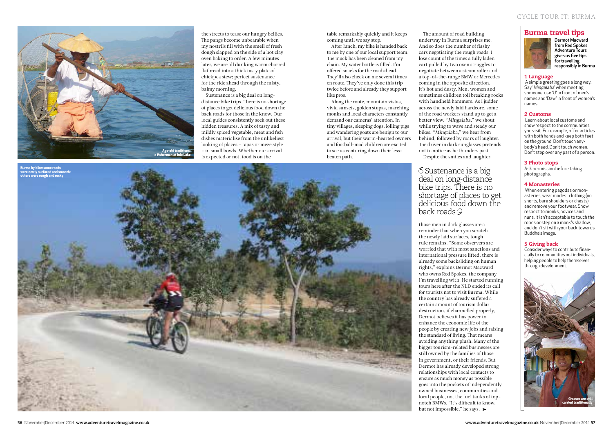## CYCLE TOUR IT: BURMA

the streets to tease our hungry bellies. The pangs become unbearable when my nostrils fill with the smell of fresh dough slapped on the side of a hot clay oven baking to order. A few minutes later, we are all dunking warm charred flatbread into a thick tasty plate of chickpea stew; perfect sustenance for the ride ahead through the misty, balmy morning.

Sustenance is a big deal on longdistance bike trips. There is no shortage of places to get delicious food down the back roads for those in the know. Our local guides consistently seek out these hidden treasures. A mix of tasty and mildly spiced vegetable, meat and fish dishes materialise from the unlikeliest looking of places – tapas or meze style – in small bowls. Whether our arrival is expected or not, food is on the

table remarkably quickly and it keeps coming until we say stop.

After lunch, my bike is handed back to me by one of our local support team. The muck has been cleaned from my chain. My water bottle is filled. I'm offered snacks for the road ahead. They'll also check on me several times en route. They've only done this trip twice before and already they support like pros.

The amount of road building underway in Burma surprises me. And so does the number of flashy cars negotiating the rough roads. I lose count of the times a fully laden cart pulled by two oxen struggles to negotiate between a steam roller and a top-of-the-range BMW or Mercedes coming in the opposite direction. It's hot and dusty. Men, women and sometimes children toil breaking rocks with handheld hammers. As I judder across the newly laid hardcore, some of the road workers stand up to get a better view. "Mingalaba," we shout while trying to wave and steady our bikes. "Mingalaba," we hear from behind, followed by roars of laughter. The driver in dark sunglasses pretends not to notice as he thunders past. Despite the smiles and laughter,

those men in dark glasses are a reminder that when you scratch the newly laid surfaces, tough rule remains. "Some observers are worried that with most sanctions and international pressure lifted, there is already some backsliding on human rights," explains Dermot Macward who owns Red Spokes, the company I'm travelling with. He started running tours here after the NLD ended its call for tourists not to visit Burma. While the country has already suffered a certain amount of tourism dollar destruction, if channelled properly, Dermot believes it has power to enhance the economic life of the people by creating new jobs and raising the standard of living. Tat means avoiding anything plush. Many of the bigger tourism-related businesses are still owned by the families of those in government, or their friends. But Dermot has already developed strong relationships with local contacts to ensure as much money as possible goes into the pockets of independently owned businesses, communities and local people, not the fuel tanks of topnotch BMWs. "It's difficult to know, but not impossible," he says.  $\blacktriangleright$ 

Along the route, mountain vistas, vivid sunsets, golden stupas, marching monks and local characters constantly demand our cameras' attention. In tiny villages, sleeping dogs, lolling pigs and wandering goats are benign to our arrival, but their warm-hearted owners and football-mad children are excited to see us venturing down their lessbeaten path.

# **6 Sustenance is a big** deal on long-distance bike trips. There is no shortage of places to get delicious food down the back roads

# Burma travel tips



Dermot Macward from Red Spokes Adventure Tours gives us five tips for travelling responsibly in Burma

## 1 Language

 A simple greeting goes a long way. Say 'Mingalaba' when meeting someone, use 'U' in front of men's names and 'Daw' in front of women's names.

### 2 Customs

 Learn about local customs and show respect to the communities you visit. For example, offer articles with both hands and keep both feet on the ground. Don't touch anybody's head. Don't touch women. Don't step over any part of a person.

#### 3 Photo stops

Ask permission before taking photographs.

#### 4 Monasteries

When entering pagodas or monasteries, wear modest clothing (no shorts, bare shoulders or chests) and remove your footwear. Show respect to monks, novices and nuns. It isn't acceptable to touch the robes or step on a monk's shadow, and don't sit with your back towards Buddha's image.

#### 5 Giving back

Consider ways to contribute financially to communities not individuals, helping people to help themselves through development.





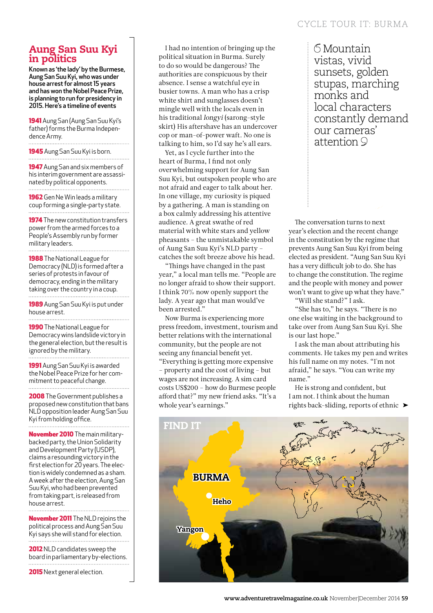# Aung San Suu Kyi in politics

Known as 'the lady' by the Burmese, Aung San Suu Kyi, who was under house arrest for almost 15 years and has won the Nobel Peace Prize, is planning to run for presidency in 2015. Here's a timeline of events

1941 Aung San (Aung San Suu Kyi's father) forms the Burma Independence Army.

1945 Aung San Suu Kyi is born. 

1947 Aung San and six members of his interim government are assassinated by political opponents.

1962 Gen Ne Win leads a military coup forming a single-party state.

**1974** The new constitution transfers power from the armed forces to a People's Assembly run by former military leaders.

1988 The National League for Democracy (NLD) is formed after a series of protests in favour of democracy, ending in the military taking over the country in a coup.

1989 Aung San Suu Kyi is put under house arrest.

1990 The National League for Democracy wins landslide victory in the general election, but the result is ignored by the military.

1991 Aung San Suu Kyi is awarded the Nobel Peace Prize for her commitment to peaceful change. . . . . . . . . . . . . . . . . . . . 

2008 The Government publishes a proposed new constitution that bans NLD opposition leader Aung San Suu Kyi from holding office.

November 2010 The main militarybacked party, the Union Solidarity and Development Party (USDP), claims a resounding victory in the first election for 20 years. The election is widely condemned as a sham. A week after the election, Aung San Suu Kyi, who had been prevented from taking part, is released from house arrest. . . . . . . . . . . . . . . . . . . . .

**November 2011** The NLD rejoins the political process and Aung San Suu Kyi says she will stand for election.

2012 NLD candidates sweep the board in parliamentary by-elections.

2015 Next general election.

I had no intention of bringing up the political situation in Burma. Surely to do so would be dangerous? The authorities are conspicuous by their absence. I sense a watchful eye in busier towns. A man who has a crisp white shirt and sunglasses doesn't mingle well with the locals even in his traditional longyi (sarong-style skirt) His aftershave has an undercover cop or man-of-power waft. No one is talking to him, so I'd say he's all ears.

Yet, as I cycle further into the heart of Burma, I find not only overwhelming support for Aung San Suu Kyi, but outspoken people who are not afraid and eager to talk about her. In one village, my curiosity is piqued by a gathering. A man is standing on a box calmly addressing his attentive audience. A great swathe of red material with white stars and yellow pheasants – the unmistakable symbol of Aung San Suu Kyi's NLD party – catches the soft breeze above his head.

"Things have changed in the past year," a local man tells me. "People are no longer afraid to show their support. I think 70% now openly support the lady. A year ago that man would've been arrested."

Now Burma is experiencing more press freedom, investment, tourism and better relations with the international community, but the people are not seeing any financial benefit yet.

"Everything is getting more expensive – property and the cost of living – but wages are not increasing. A sim card costs US\$200 – how do Burmese people afford that?" my new friend asks. "It's a whole year's earnings."

Mountain vistas, vivid sunsets, golden stupas, marching monks and local characters constantly demand our cameras' attention 9

The conversation turns to next year's election and the recent change in the constitution by the regime that prevents Aung San Suu Kyi from being elected as president. "Aung San Suu Kyi has a very difficult job to do. She has to change the constitution. The regime and the people with money and power won't want to give up what they have."

"Will she stand?" I ask.

"She has to," he says. "There is no one else waiting in the background to take over from Aung San Suu Kyi. She is our last hope."

I ask the man about attributing his comments. He takes my pen and writes his full name on my notes. "I'm not afraid," he says. "You can write my name."

He is strong and confident, but I am not. I think about the human rights back-sliding, reports of ethnic